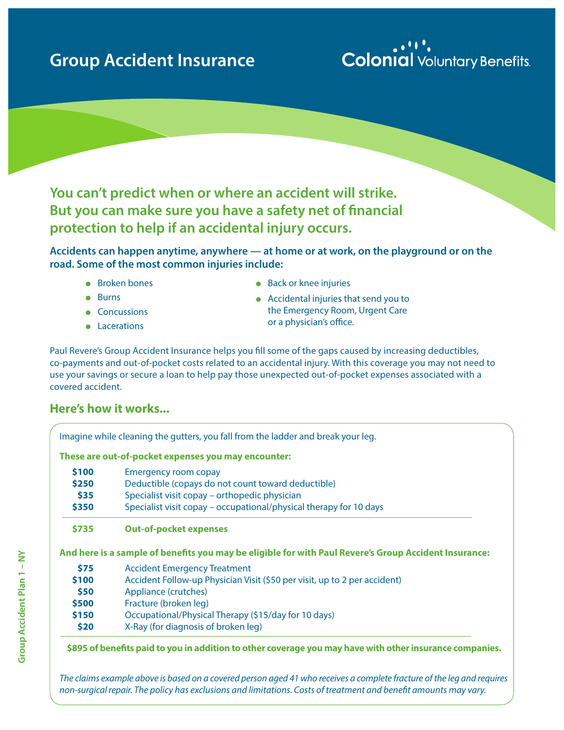### **Group Accident Insurance**

## **Colonial** Voluntary Benefits

# **You can't predict when or where an accident will strike. But you can make sure you have a safety net of financial protection to help if an accidental injury occurs.**

**Accidents can happen anytime, anywhere — at home or at work, on the playground or on the road. Some of the most common injuries include:**

- $\bullet$  Broken bones
- $\bullet$  Burns
- Concussions
- Lacerations
- $\bullet$  Back or knee injuries
- $\bullet$  Accidental injuries that send you to the Emergency Room, Urgent Care or a physician's office.

Paul Revere's Group Accident Insurance helps you fill some of the gaps caused by increasing deductibles, co-payments and out-of-pocket costs related to an accidental injury. With this coverage you may not need to use your savings or secure a loan to help pay those unexpected out-of-pocket expenses associated with a covered accident.

#### **Here's how it works...**

Imagine while cleaning the gutters, you fall from the ladder and break your leg. **These are out-of-pocket expenses you may encounter: \$100** Emergency room copay **\$250** Deductible (copays do not count toward deductible) **\$35** Specialist visit copay – orthopedic physician **\$350** Specialist visit copay – occupational/physical therapy for 10 days **\$735 Out-of-pocket expenses And here is a sample of benefits you may be eligible for with Paul Revere's Group Accident Insurance: \$75** Accident Emergency Treatment **\$100** Accident Follow-up Physician Visit (\$50 per visit, up to 2 per accident) **\$50** Appliance (crutches) **\$500** Fracture (broken leg) **\$150** Occupational/Physical Therapy (\$15/day for 10 days) **\$20** X-Ray (for diagnosis of broken leg)

 **\$895 of benefits paid to you in addition to other coverage you may have with other insurance companies.**

*The claims example above is based on a covered person aged 41 who receives a complete fracture of the leg and requires non-surgical repair. The policy has exclusions and limitations. Costs of treatment and benefit amounts may vary.*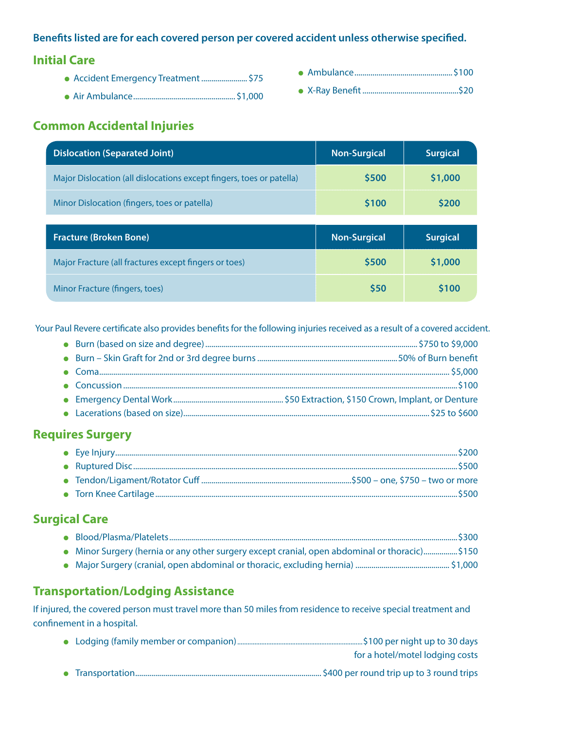#### **Benefits listed are for each covered person per covered accident unless otherwise specified.**

#### **Initial Care**

- **.** Accident Emergency Treatment.........................\$75
- <sup>l</sup>Air Ambulance................................................... \$1,000

#### **Common Accidental Injuries**

| <b>Dislocation (Separated Joint)</b>                                 | <b>Non-Surgical</b> | <b>Surgical</b> |
|----------------------------------------------------------------------|---------------------|-----------------|
| Major Dislocation (all dislocations except fingers, toes or patella) | \$500               | \$1,000         |
| Minor Dislocation (fingers, toes or patella)                         | \$100               | \$200           |
|                                                                      |                     |                 |
|                                                                      |                     |                 |
| <b>Fracture (Broken Bone)</b>                                        | <b>Non-Surgical</b> | <b>Surgical</b> |
| Major Fracture (all fractures except fingers or toes)                | \$500               | \$1,000         |

Your Paul Revere certificate also provides benefits for the following injuries received as a result of a covered accident.

#### **Requires Surgery**

#### **Surgical Care**

| • Minor Surgery (hernia or any other surgery except cranial, open abdominal or thoracic)\$150 |  |
|-----------------------------------------------------------------------------------------------|--|
|                                                                                               |  |

#### **Transportation/Lodging Assistance**

If injured, the covered person must travel more than 50 miles from residence to receive special treatment and confinement in a hospital.

|  | for a hotel/motel lodging costs |
|--|---------------------------------|
|  |                                 |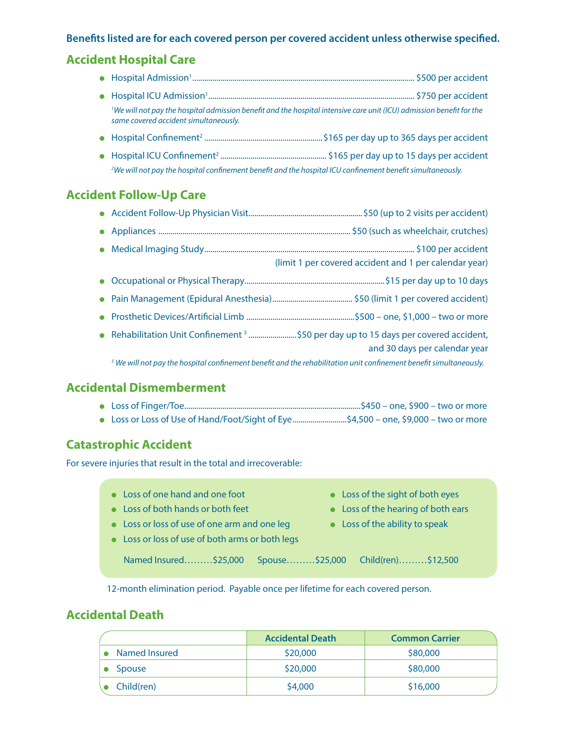#### **Benefits listed are for each covered person per covered accident unless otherwise specified.**

#### **Accident Hospital Care**

- <sup>l</sup> Hospital Admission1............................................................................................................... \$500 per accident
- <sup>l</sup> Hospital ICU Admission1 ....................................................................................................... \$750 per accident  *1 We will not pay the hospital admission benefit and the hospital intensive care unit (ICU) admission benefit for the same covered accident simultaneously.*
	- <sup>l</sup> Hospital Confinement2 ...........................................................\$165 per day up to 365 days per accident
- <sup>l</sup> Hospital ICU Confinement2 ..................................................... \$165 per day up to 15 days per accident  *2 We will not pay the hospital confinement benefit and the hospital ICU confinement benefit simultaneously.*

#### **Accident Follow-Up Care**

|  | (limit 1 per covered accident and 1 per calendar year)                                                                        |
|--|-------------------------------------------------------------------------------------------------------------------------------|
|  |                                                                                                                               |
|  |                                                                                                                               |
|  |                                                                                                                               |
|  | and 30 days per calendar year                                                                                                 |
|  | <sup>3</sup> We will not pay the hospital confinement benefit and the rehabilitation unit confinement benefit simultaneously. |

#### **Accidental Dismemberment**

|--|--|--|--|--|--|--|

■ Loss or Loss of Use of Hand/Foot/Sight of Eye...........................\$4,500 – one, \$9,000 – two or more

#### **Catastrophic Accident**

For severe injuries that result in the total and irrecoverable:

- Loss of one hand and one foot **leads** Loss of the sight of both eyes
- 
- Loss or loss of use of one arm and one leg loss of the ability to speak
- Loss or loss of use of both arms or both legs
- 
- Loss of both hands or both feet **less** the hearing of both ears
	-

Named Insured………\$25,000 Spouse………\$25,000 Child(ren)………\$12,500

12-month elimination period. Payable once per lifetime for each covered person.

#### **Accidental Death**

|               | <b>Accidental Death</b> | <b>Common Carrier</b> |
|---------------|-------------------------|-----------------------|
| Named Insured | \$20,000                | \$80,000              |
| <b>Spouse</b> | \$20,000                | \$80,000              |
| Child(ren)    | \$4,000                 | \$16,000              |